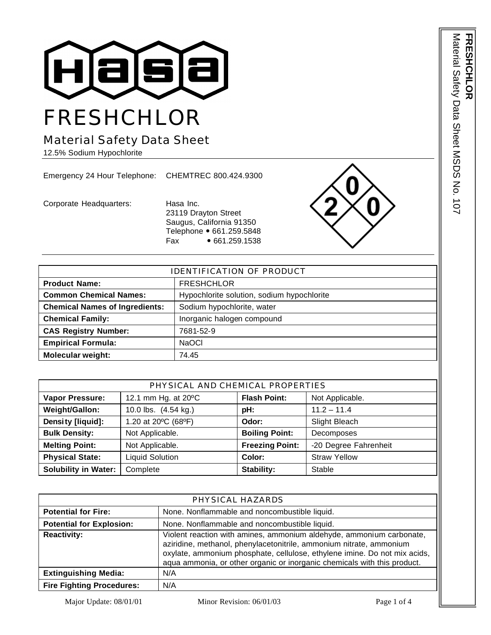

# Material Safety Data Sheet

12.5% Sodium Hypochlorite

Emergency 24 Hour Telephone: CHEMTREC 800.424.9300

Corporate Headquarters: Hasa Inc.

23119 Drayton Street Saugus, California 91350 Telephone • 661.259.5848 Fax • 661.259.1538



| <b>IDENTIFICATION OF PRODUCT</b>      |                                            |  |
|---------------------------------------|--------------------------------------------|--|
| <b>Product Name:</b>                  | <b>FRESHCHLOR</b>                          |  |
| <b>Common Chemical Names:</b>         | Hypochlorite solution, sodium hypochlorite |  |
| <b>Chemical Names of Ingredients:</b> | Sodium hypochlorite, water                 |  |
| <b>Chemical Family:</b>               | Inorganic halogen compound                 |  |
| <b>CAS Registry Number:</b>           | 7681-52-9                                  |  |
| <b>Empirical Formula:</b>             | <b>NaOCI</b>                               |  |
| <b>Molecular weight:</b>              | 74.45                                      |  |

| PHYSICAL AND CHEMICAL PROPERTIES |                        |                        |                       |
|----------------------------------|------------------------|------------------------|-----------------------|
| <b>Vapor Pressure:</b>           | 12.1 mm Hg. at 20°C    | <b>Flash Point:</b>    | Not Applicable.       |
| Weight/Gallon:                   | 10.0 lbs. (4.54 kg.)   | pH:                    | $11.2 - 11.4$         |
| Density [liquid]:                | 1.20 at 20°C (68°F)    | Odor:                  | Slight Bleach         |
| <b>Bulk Density:</b>             | Not Applicable.        | <b>Boiling Point:</b>  | Decomposes            |
| <b>Melting Point:</b>            | Not Applicable.        | <b>Freezing Point:</b> | -20 Degree Fahrenheit |
| <b>Physical State:</b>           | <b>Liquid Solution</b> | Color:                 | <b>Straw Yellow</b>   |
| <b>Solubility in Water:</b>      | Complete               | Stability:             | Stable                |

| PHYSICAL HAZARDS                 |                                                                                                                                                                                                                                                                                                      |  |
|----------------------------------|------------------------------------------------------------------------------------------------------------------------------------------------------------------------------------------------------------------------------------------------------------------------------------------------------|--|
| <b>Potential for Fire:</b>       | None. Nonflammable and noncombustible liquid.                                                                                                                                                                                                                                                        |  |
| <b>Potential for Explosion:</b>  | None. Nonflammable and noncombustible liquid.                                                                                                                                                                                                                                                        |  |
| <b>Reactivity:</b>               | Violent reaction with amines, ammonium aldehyde, ammonium carbonate,<br>aziridine, methanol, phenylacetonitrile, ammonium nitrate, ammonium<br>oxylate, ammonium phosphate, cellulose, ethylene imine. Do not mix acids,<br>aqua ammonia, or other organic or inorganic chemicals with this product. |  |
| <b>Extinguishing Media:</b>      | N/A                                                                                                                                                                                                                                                                                                  |  |
| <b>Fire Fighting Procedures:</b> | N/A                                                                                                                                                                                                                                                                                                  |  |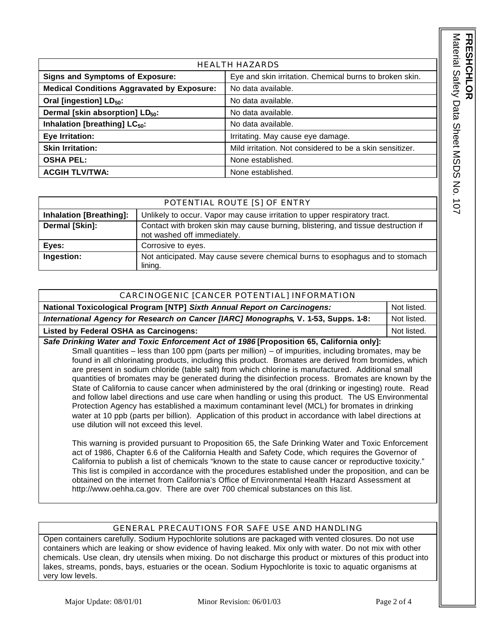Material Safety Data Sheet MSDS No. 107 Material Safety Data Sheet MSDS No. 107 **FRESHCHLOR RESHCHL** 

| <b>HEALTH HAZARDS</b>                             |                                                          |  |
|---------------------------------------------------|----------------------------------------------------------|--|
| <b>Signs and Symptoms of Exposure:</b>            | Eye and skin irritation. Chemical burns to broken skin.  |  |
| <b>Medical Conditions Aggravated by Exposure:</b> | No data available.                                       |  |
| Oral [ingestion] LD <sub>50</sub> :               | No data available.                                       |  |
| Dermal [skin absorption] LD <sub>50</sub> :       | No data available.                                       |  |
| Inhalation [breathing] LC <sub>50</sub> :         | No data available.                                       |  |
| Eye Irritation:                                   | Irritating. May cause eye damage.                        |  |
| <b>Skin Irritation:</b>                           | Mild irritation. Not considered to be a skin sensitizer. |  |
| <b>OSHA PEL:</b>                                  | None established.                                        |  |
| <b>ACGIH TLV/TWA:</b>                             | None established.                                        |  |

|                                | POTENTIAL ROUTE [S] OF ENTRY                                                                                     |
|--------------------------------|------------------------------------------------------------------------------------------------------------------|
| <b>Inhalation [Breathing]:</b> | Unlikely to occur. Vapor may cause irritation to upper respiratory tract.                                        |
| Dermal [Skin]:                 | Contact with broken skin may cause burning, blistering, and tissue destruction if<br>not washed off immediately. |
| Eyes:                          | Corrosive to eyes.                                                                                               |
| Ingestion:                     | Not anticipated. May cause severe chemical burns to esophagus and to stomach<br>lining.                          |

| CARCINOGENIC [CANCER POTENTIAL] INFORMATION                                              |             |  |
|------------------------------------------------------------------------------------------|-------------|--|
| National Toxicological Program [NTP] Sixth Annual Report on Carcinogens:                 | Not listed. |  |
| International Agency for Research on Cancer [IARC] Monographs, V. 1-53, Supps. 1-8:      | Not listed. |  |
| <b>Listed by Federal OSHA as Carcinogens:</b>                                            | Not listed. |  |
| Safe Drinking Water and Toxic Enforcement Act of 1986 [Proposition 65, California only]: |             |  |

Small quantities – less than 100 ppm (parts per million) – of impurities, including bromates, may be found in all chlorinating products, including this product. Bromates are derived from bromides, which are present in sodium chloride (table salt) from which chlorine is manufactured. Additional small quantities of bromates may be generated during the disinfection process. Bromates are known by the State of California to cause cancer when administered by the oral (drinking or ingesting) route. Read and follow label directions and use care when handling or using this product. The US Environmental Protection Agency has established a maximum contaminant level (MCL) for bromates in drinking water at 10 ppb (parts per billion). Application of this product in accordance with label directions at use dilution will not exceed this level.

This warning is provided pursuant to Proposition 65, the Safe Drinking Water and Toxic Enforcement act of 1986, Chapter 6.6 of the California Health and Safety Code, which requires the Governor of California to publish a list of chemicals "known to the state to cause cancer or reproductive toxicity." This list is compiled in accordance with the procedures established under the proposition, and can be obtained on the internet from California's Office of Environmental Health Hazard Assessment at http://www.oehha.ca.gov. There are over 700 chemical substances on this list.

## GENERAL PRECAUTIONS FOR SAFE USE AND HANDLING

Open containers carefully. Sodium Hypochlorite solutions are packaged with vented closures. Do not use containers which are leaking or show evidence of having leaked. Mix only with water. Do not mix with other chemicals. Use clean, dry utensils when mixing. Do not discharge this product or mixtures of this product into lakes, streams, ponds, bays, estuaries or the ocean. Sodium Hypochlorite is toxic to aquatic organisms at very low levels.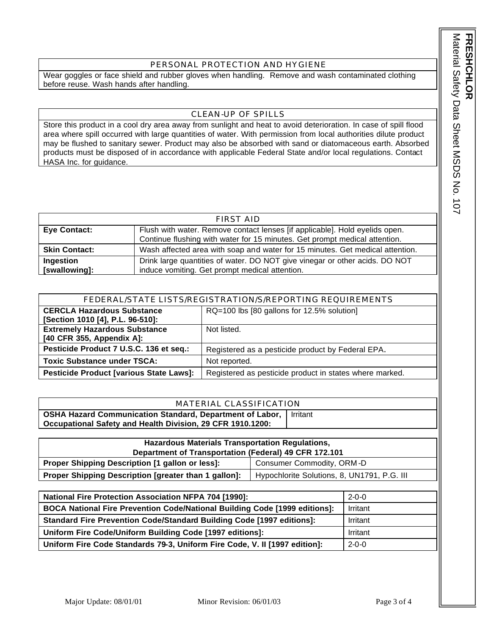#### PERSONAL PROTECTION AND HYGIENE

Wear goggles or face shield and rubber gloves when handling. Remove and wash contaminated clothing before reuse. Wash hands after handling.

### CLEAN-UP OF SPILLS

Store this product in a cool dry area away from sunlight and heat to avoid deterioration. In case of spill flood area where spill occurred with large quantities of water. With permission from local authorities dilute product may be flushed to sanitary sewer. Product may also be absorbed with sand or diatomaceous earth. Absorbed products must be disposed of in accordance with applicable Federal State and/or local regulations. Contact HASA Inc. for guidance.

| FIRST AID            |                                                                               |  |
|----------------------|-------------------------------------------------------------------------------|--|
| <b>Eye Contact:</b>  | Flush with water. Remove contact lenses [if applicable]. Hold eyelids open.   |  |
|                      | Continue flushing with water for 15 minutes. Get prompt medical attention.    |  |
| <b>Skin Contact:</b> | Wash affected area with soap and water for 15 minutes. Get medical attention. |  |
| Ingestion            | Drink large quantities of water. DO NOT give vinegar or other acids. DO NOT   |  |
| [swallowing]:        | induce vomiting. Get prompt medical attention.                                |  |

| FEDERAL/STATE LISTS/REGISTRATION/S/REPORTING REQUIREMENTS                                                 |                                                   |  |
|-----------------------------------------------------------------------------------------------------------|---------------------------------------------------|--|
| <b>CERCLA Hazardous Substance</b>                                                                         | RQ=100 lbs [80 gallons for 12.5% solution]        |  |
| [Section 1010 [4], P.L. 96-510]:                                                                          |                                                   |  |
| <b>Extremely Hazardous Substance</b>                                                                      | Not listed.                                       |  |
| [40 CFR 355, Appendix A]:                                                                                 |                                                   |  |
| Pesticide Product 7 U.S.C. 136 et seq.:                                                                   | Registered as a pesticide product by Federal EPA. |  |
| <b>Toxic Substance under TSCA:</b>                                                                        | Not reported.                                     |  |
| <b>Pesticide Product [various State Laws]:</b><br>Registered as pesticide product in states where marked. |                                                   |  |

#### MATERIAL CLASSIFICATION

**OSHA Hazard Communication Standard, Department of Labor, Occupational Safety and Health Division, 29 CFR 1910.1200:** Irritant

| <b>Hazardous Materials Transportation Regulations,</b>                       |                                             |  |
|------------------------------------------------------------------------------|---------------------------------------------|--|
| Department of Transportation (Federal) 49 CFR 172.101                        |                                             |  |
| Proper Shipping Description [1 gallon or less]:<br>Consumer Commodity, ORM-D |                                             |  |
| Proper Shipping Description [greater than 1 gallon]:                         | Hypochlorite Solutions, 8, UN1791, P.G. III |  |

| <b>National Fire Protection Association NFPA 704 [1990]:</b>                 | $2 - 0 - 0$ |
|------------------------------------------------------------------------------|-------------|
| BOCA National Fire Prevention Code/National Building Code [1999 editions]:   | Irritant    |
| <b>Standard Fire Prevention Code/Standard Building Code [1997 editions]:</b> | Irritant    |
| Uniform Fire Code/Uniform Building Code [1997 editions]:                     | Irritant    |
| Uniform Fire Code Standards 79-3, Uniform Fire Code, V. II [1997 edition]:   | $2 - 0 - 0$ |